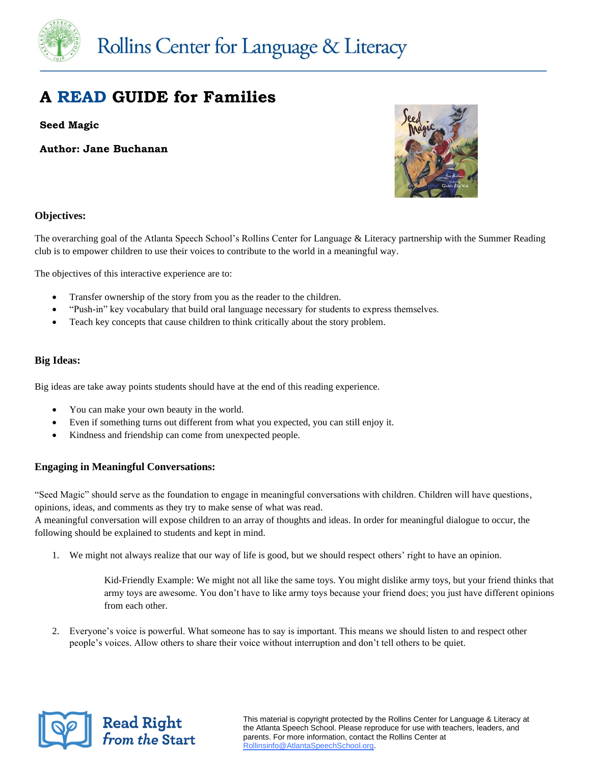

### **A READ GUIDE for Families**

**Seed Magic**

**Author: Jane Buchanan**



### **Objectives:**

The overarching goal of the Atlanta Speech School's Rollins Center for Language & Literacy partnership with the Summer Reading club is to empower children to use their voices to contribute to the world in a meaningful way.

The objectives of this interactive experience are to:

- Transfer ownership of the story from you as the reader to the children.
- "Push-in" key vocabulary that build oral language necessary for students to express themselves.
- Teach key concepts that cause children to think critically about the story problem.

#### **Big Ideas:**

Big ideas are take away points students should have at the end of this reading experience.

- You can make your own beauty in the world.
- Even if something turns out different from what you expected, you can still enjoy it.
- Kindness and friendship can come from unexpected people.

### **Engaging in Meaningful Conversations:**

"Seed Magic" should serve as the foundation to engage in meaningful conversations with children. Children will have questions, opinions, ideas, and comments as they try to make sense of what was read.

A meaningful conversation will expose children to an array of thoughts and ideas. In order for meaningful dialogue to occur, the following should be explained to students and kept in mind.

1. We might not always realize that our way of life is good, but we should respect others' right to have an opinion.

Kid-Friendly Example: We might not all like the same toys. You might dislike army toys, but your friend thinks that army toys are awesome. You don't have to like army toys because your friend does; you just have different opinions from each other.

2. Everyone's voice is powerful. What someone has to say is important. This means we should listen to and respect other people's voices. Allow others to share their voice without interruption and don't tell others to be quiet.



This material is copyright protected by the Rollins Center for Language & Literacy at the Atlanta Speech School. Please reproduce for use with teachers, leaders, and parents. For more information, contact the Rollins Center at [Rollinsinfo@AtlantaSpeechSchool.org.](mailto:Rollinsinfo@AtlantaSpeechSchool.org)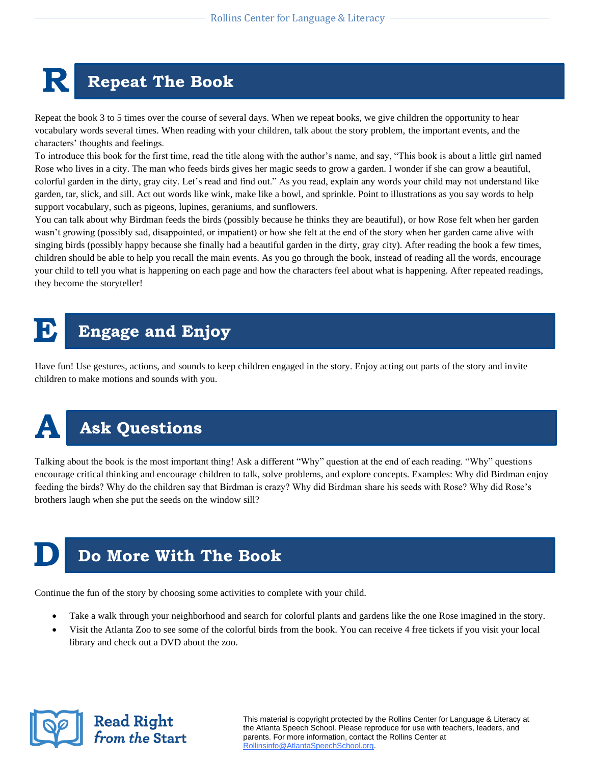# **R Repeat The Book**

Repeat the book 3 to 5 times over the course of several days. When we repeat books, we give children the opportunity to hear vocabulary words several times. When reading with your children, talk about the story problem, the important events, and the characters' thoughts and feelings.

To introduce this book for the first time, read the title along with the author's name, and say, "This book is about a little girl named Rose who lives in a city. The man who feeds birds gives her magic seeds to grow a garden. I wonder if she can grow a beautiful, colorful garden in the dirty, gray city. Let's read and find out." As you read, explain any words your child may not understand like garden, tar, slick, and sill. Act out words like wink, make like a bowl, and sprinkle. Point to illustrations as you say words to help support vocabulary, such as pigeons, lupines, geraniums, and sunflowers.

You can talk about why Birdman feeds the birds (possibly because he thinks they are beautiful), or how Rose felt when her garden wasn't growing (possibly sad, disappointed, or impatient) or how she felt at the end of the story when her garden came alive with singing birds (possibly happy because she finally had a beautiful garden in the dirty, gray city). After reading the book a few times, children should be able to help you recall the main events. As you go through the book, instead of reading all the words, encourage your child to tell you what is happening on each page and how the characters feel about what is happening. After repeated readings, they become the storyteller!

## **E Engage and Enjoy**

Have fun! Use gestures, actions, and sounds to keep children engaged in the story. Enjoy acting out parts of the story and invite children to make motions and sounds with you.



### **A Ask Questions**

Talking about the book is the most important thing! Ask a different "Why" question at the end of each reading. "Why" questions encourage critical thinking and encourage children to talk, solve problems, and explore concepts. Examples: Why did Birdman enjoy feeding the birds? Why do the children say that Birdman is crazy? Why did Birdman share his seeds with Rose? Why did Rose's brothers laugh when she put the seeds on the window sill?

### **Do More With The Book**

Continue the fun of the story by choosing some activities to complete with your child.

- Take a walk through your neighborhood and search for colorful plants and gardens like the one Rose imagined in the story.
- Visit the Atlanta Zoo to see some of the colorful birds from the book. You can receive 4 free tickets if you visit your local library and check out a DVD about the zoo.